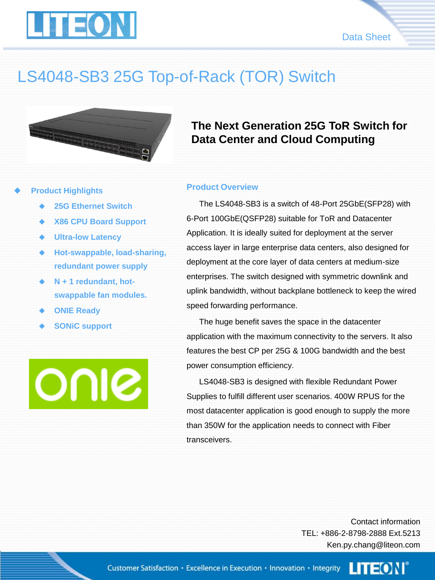



# LS4048-SB3 25G Top-of-Rack (TOR) Switch



### **Product Highlights**

- **25G Ethernet Switch**
- **X86 CPU Board Support**
- **Ultra-low Latency**
- **Hot-swappable, load-sharing, redundant power supply**
- **N + 1 redundant, hotswappable fan modules.**
- **ONIE Ready**
- **SONiC support**

OUIS

## **The Next Generation 25G ToR Switch for Data Center and Cloud Computing**

#### **Product Overview**

The LS4048-SB3 is a switch of 48-Port 25GbE(SFP28) with 6-Port 100GbE(QSFP28) suitable for ToR and Datacenter Application. It is ideally suited for deployment at the server access layer in large enterprise data centers, also designed for deployment at the core layer of data centers at medium-size enterprises. The switch designed with symmetric downlink and uplink bandwidth, without backplane bottleneck to keep the wired speed forwarding performance.

The huge benefit saves the space in the datacenter application with the maximum connectivity to the servers. It also features the best CP per 25G & 100G bandwidth and the best power consumption efficiency.

LS4048-SB3 is designed with flexible Redundant Power Supplies to fulfill different user scenarios. 400W RPUS for the most datacenter application is good enough to supply the more than 350W for the application needs to connect with Fiber transceivers.

> Contact information TEL: +886-2-8798-2888 Ext.5213 Ken.py.chang@liteon.com